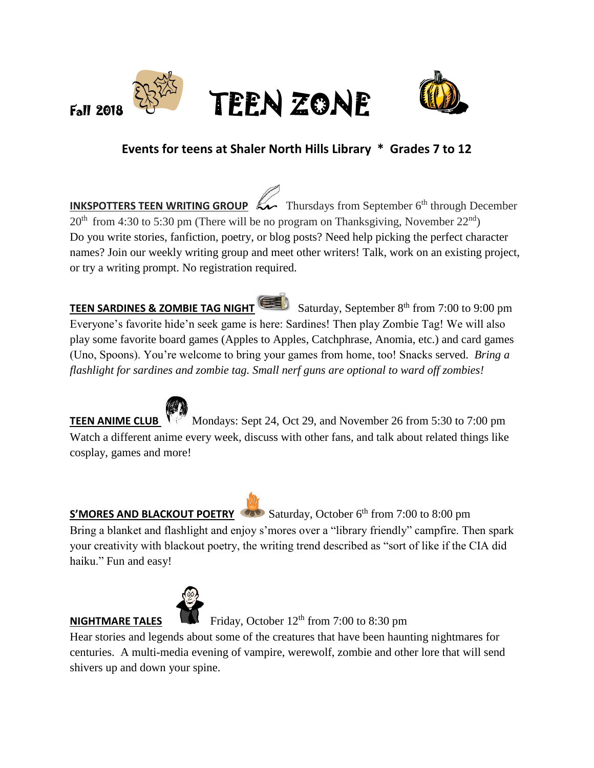



# **Events for teens at Shaler North Hills Library \* Grades 7 to 12**

**INKSPOTTERS TEEN WRITING GROUP**  $\mathbb{R}$  Thursdays from September 6<sup>th</sup> through December  $20<sup>th</sup>$  from 4:30 to 5:30 pm (There will be no program on Thanksgiving, November  $22<sup>nd</sup>$ ) Do you write stories, fanfiction, poetry, or blog posts? Need help picking the perfect character names? Join our weekly writing group and meet other writers! Talk, work on an existing project, or try a writing prompt. No registration required.

**TEEN SARDINES & ZOMBIE TAG NIGHT** Saturday, September 8<sup>th</sup> from 7:00 to 9:00 pm Everyone's favorite hide'n seek game is here: Sardines! Then play Zombie Tag! We will also play some favorite board games (Apples to Apples, Catchphrase, Anomia, etc.) and card games (Uno, Spoons). You're welcome to bring your games from home, too! Snacks served. *Bring a flashlight for sardines and zombie tag. Small nerf guns are optional to ward off zombies!*



**TEENANIME CLUB Mondays:** Sept 24, Oct 29, and November 26 from 5:30 to 7:00 pm Watch a different anime every week, discuss with other fans, and talk about related things like cosplay, games and more!

## **S'MORES AND BLACKOUT POETRY** Saturday, October 6<sup>th</sup> from 7:00 to 8:00 pm

Bring a blanket and flashlight and enjoy s'mores over a "library friendly" campfire. Then spark your creativity with blackout poetry, the writing trend described as "sort of like if the CIA did haiku." Fun and easy!



**NIGHTMARE TALES** Friday, October  $12<sup>th</sup>$  from 7:00 to 8:30 pm

Hear stories and legends about some of the creatures that have been haunting nightmares for centuries. A multi-media evening of vampire, werewolf, zombie and other lore that will send shivers up and down your spine.